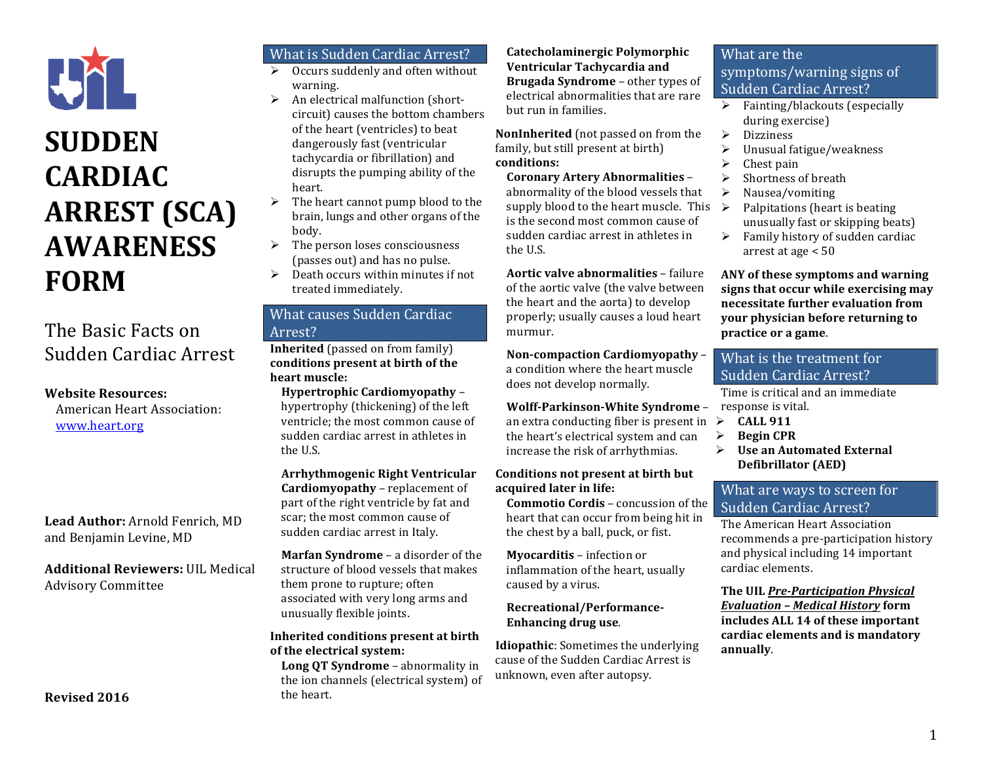

## **SUDDEN CARDIAC ARREST** (SCA) **AWARENESS FORM**

## The Basic Facts on Sudden Cardiac Arrest

#### **Website Resources:**

American Heart Association: www.heart.org

Lead Author: Arnold Fenrich, MD and Benjamin Levine, MD

**Additional Reviewers:** UIL Medical Advisory Committee

## What is Sudden Cardiac Arrest?

- Occurs suddenly and often without warning.
- $\triangleright$  An electrical malfunction (shortcircuit) causes the bottom chambers of the heart (ventricles) to beat dangerously fast (ventricular tachycardia or fibrillation) and disrupts the pumping ability of the heart.
- $\triangleright$  The heart cannot pump blood to the brain, lungs and other organs of the body.
- $\triangleright$  The person loses consciousness (passes out) and has no pulse.
- $\triangleright$  Death occurs within minutes if not treated immediately.

## What causes Sudden Cardiac Arrest?

**Inherited** (passed on from family) **conditions present at birth of the**  heart muscle:

**Hypertrophic Cardiomyopathy** – hypertrophy (thickening) of the left ventricle; the most common cause of sudden cardiac arrest in athletes in the IIS

**Arrhythmogenic Right Ventricular Cardiomyopathy** – replacement of part of the right ventricle by fat and scar; the most common cause of sudden cardiac arrest in Italy.

**Marfan Syndrome** – a disorder of the structure of blood vessels that makes them prone to rupture; often associated with very long arms and unusually flexible joints.

#### **Inherited conditions present at birth of the electrical system:**

**Long OT Syndrome** – abnormality in the ion channels (electrical system) of the heart.

#### **Catecholaminergic Polymorphic Ventricular Tachycardia and Brugada Syndrome** – other types of electrical abnormalities that are rare but run in families.

**NonInherited** (not passed on from the family, but still present at birth) **conditions:**

#### **Coronary Artery Abnormalities** –

abnormality of the blood vessels that supply blood to the heart muscle. This  $\triangleright$ is the second most common cause of sudden cardiac arrest in athletes in the U.S.

**Aortic valve abnormalities** – failure of the aortic valve (the valve between the heart and the aorta) to develop properly; usually causes a loud heart murmur.

**Non-compaction Cardiomyopathy** – a condition where the heart muscle does not develop normally.

#### **Wolff-Parkinson-White Syndrome -**

an extra conducting fiber is present in  $\triangleright$ the heart's electrical system and can increase the risk of arrhythmias.

#### **Conditions not present at birth but acquired later in life:**

**Commotio Cordis** – concussion of the heart that can occur from being hit in the chest by a ball, puck, or fist.

**Myocarditis** – infection or inflammation of the heart, usually caused by a virus.

#### **Recreational/Performance-Enhancing drug use.**

**Idiopathic:** Sometimes the underlying cause of the Sudden Cardiac Arrest is unknown, even after autopsy.

## What are the symptoms/warning signs of Sudden Cardiac Arrest?

- Fainting/blackouts (especially during exercise)
- Ø Dizziness
- $\triangleright$  Unusual fatigue/weakness
- $\triangleright$  Chest pain
- $\triangleright$  Shortness of breath
- Ø Nausea/vomiting
- Palpitations (heart is beating unusually fast or skipping beats)
- $\triangleright$  Family history of sudden cardiac arrest at age  $< 50$

ANY of these symptoms and warning signs that occur while exercising may **necessitate further evaluation from your physician before returning to practice or a game**.

## What is the treatment for Sudden Cardiac Arrest?

Time is critical and an immediate response is vital.

- Ø **CALL 911**
- Ø **Begin CPR**
- $\triangleright$  **Use an Automated External Defibrillator (AED)**

## What are ways to screen for Sudden Cardiac Arrest?

The American Heart Association recommends a pre-participation history and physical including 14 important cardiac elements.

**The UIL Pre-Participation Physical** *Evaluation – Medical History* **form**  includes ALL 14 of these important cardiac elements and is mandatory **annually**.